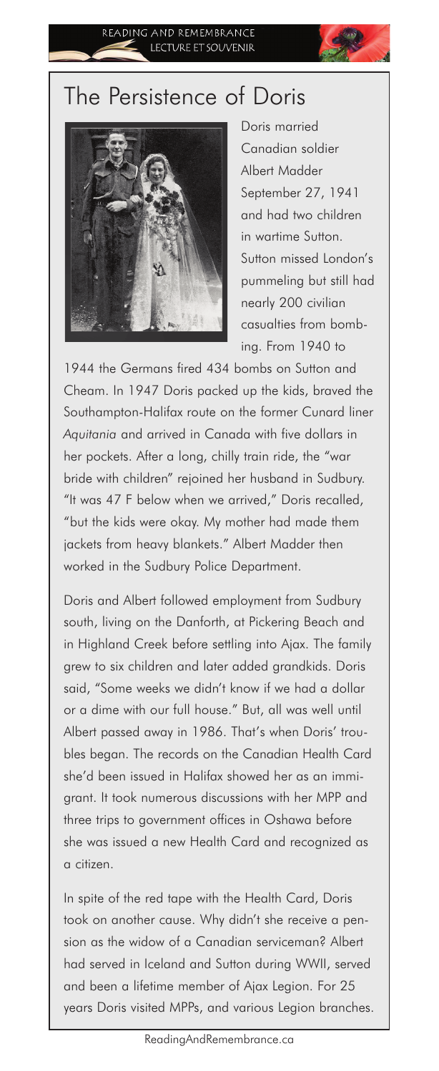## The Persistence of Doris



Doris married Canadian soldier Albert Madder September 27, 1941 and had two children in wartime Sutton. Sutton missed London's pummeling but still had nearly 200 civilian casualties from bombing. From 1940 to

1944 the Germans fired 434 bombs on Sutton and Cheam. In 1947 Doris packed up the kids, braved the Southampton-Halifax route on the former Cunard liner *Aquitania* and arrived in Canada with five dollars in her pockets. After a long, chilly train ride, the "war bride with children" rejoined her husband in Sudbury. "It was 47 F below when we arrived," Doris recalled, "but the kids were okay. My mother had made them jackets from heavy blankets." Albert Madder then worked in the Sudbury Police Department.

Doris and Albert followed employment from Sudbury south, living on the Danforth, at Pickering Beach and in Highland Creek before settling into Ajax. The family grew to six children and later added grandkids. Doris said, "Some weeks we didn't know if we had a dollar or a dime with our full house." But, all was well until Albert passed away in 1986. That's when Doris' troubles began. The records on the Canadian Health Card she'd been issued in Halifax showed her as an immigrant. It took numerous discussions with her MPP and three trips to government offices in Oshawa before she was issued a new Health Card and recognized as a citizen.

In spite of the red tape with the Health Card, Doris took on another cause. Why didn't she receive a pension as the widow of a Canadian serviceman? Albert had served in Iceland and Sutton during WWII, served and been a lifetime member of Ajax Legion. For 25 years Doris visited MPPs, and various Legion branches.